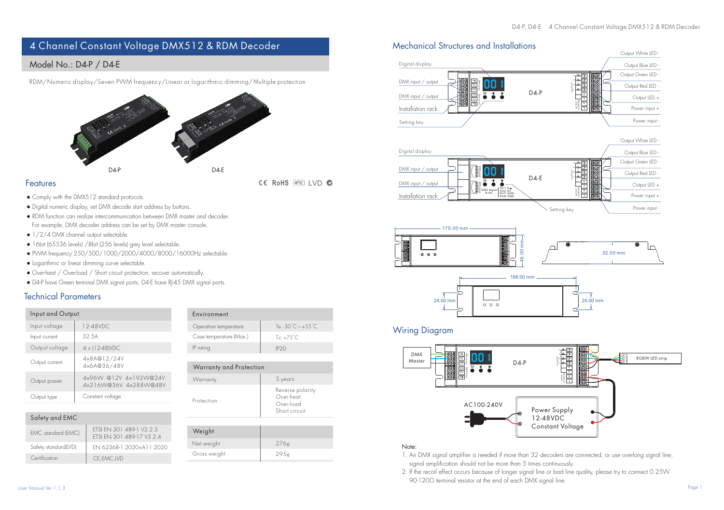# 4 Channel Constant Voltage DMX512 & RDM Decoder

# Model No.: D4-P / D4-E

RDM/Numeric display/Seven PWM frequency/Linear or logarithmic dimming/Multiple protection



#### Features

● Comply with the DMX512 standard protocols.

- Digital numeric display, set DMX decode start address by buttons.
- RDM function can realize intercommunication between DMX master and decoder. For example, DMX decoder address can be set by DMX master console.
- 1/2/4 DMX channel output selectable
- 16bit (65536 levels) /8bit (256 levels) grey level selectable.
- PWM frequency 250/500/1000/2000/4000/8000/16000Hz selectable.
- Logarithmic or linear dimming curve selectable.
- Over-heat / Over-load / Short circuit protection, recover automatically.
- D4-P have Green terminal DMX signal ports, D4-E have RJ-45 DMX signal ports.

#### Technical Parameters

| Input and Output<br>Environment<br>Input voltage<br>12-48VDC<br>Operation temperature<br>32.5A<br>Case temperature [Max.]<br>$Te: +75^{\circ}C$<br>Input current<br>Output voltage<br>4 x (12-48) VDC<br>IP ratina<br>IP2O<br>4×8A@12/24V<br>Output current<br>4x6A@36/48V<br>Warranty and Protection<br>4x96W @12V 4x192W@24V<br>5 years<br>Warranty<br>Output power<br>4x216W@36V 4x288W@48V<br>Constant voltage<br>Over-heat<br>Output type<br>Protection<br>Over-load<br>Short circuit<br>$C = L + L$ $L = L + L$ |  |  |  |                                |
|-----------------------------------------------------------------------------------------------------------------------------------------------------------------------------------------------------------------------------------------------------------------------------------------------------------------------------------------------------------------------------------------------------------------------------------------------------------------------------------------------------------------------|--|--|--|--------------------------------|
|                                                                                                                                                                                                                                                                                                                                                                                                                                                                                                                       |  |  |  |                                |
|                                                                                                                                                                                                                                                                                                                                                                                                                                                                                                                       |  |  |  | To: -30°C $\sim +55^{\circ}$ C |
|                                                                                                                                                                                                                                                                                                                                                                                                                                                                                                                       |  |  |  |                                |
|                                                                                                                                                                                                                                                                                                                                                                                                                                                                                                                       |  |  |  |                                |
|                                                                                                                                                                                                                                                                                                                                                                                                                                                                                                                       |  |  |  |                                |
|                                                                                                                                                                                                                                                                                                                                                                                                                                                                                                                       |  |  |  |                                |
|                                                                                                                                                                                                                                                                                                                                                                                                                                                                                                                       |  |  |  |                                |
|                                                                                                                                                                                                                                                                                                                                                                                                                                                                                                                       |  |  |  | Reverse polarity               |
|                                                                                                                                                                                                                                                                                                                                                                                                                                                                                                                       |  |  |  |                                |
|                                                                                                                                                                                                                                                                                                                                                                                                                                                                                                                       |  |  |  |                                |

| Safety and EMC            |                                                       |  |  |  |
|---------------------------|-------------------------------------------------------|--|--|--|
| <b>EMC</b> standard (EMC) | FTSI FN 301 489-1 V2 2 3<br>FTSI FN 301 489-17 V3 2 4 |  |  |  |
| Safety standard(LVD)      | FN 62368-1-2020+A11-2020                              |  |  |  |
| Certification             | CE.EMC.LVD                                            |  |  |  |

| Protection | Reverse polarity<br>Over-heat<br>Over-load<br>Short circuit |  |
|------------|-------------------------------------------------------------|--|
|            |                                                             |  |
| Weight     |                                                             |  |
| Net weight | 276g                                                        |  |

Gross weight

295g

# Mechanical Structures and Installations





#### Note:

- 1. An DMX signal amplifier is needed if more than 32 decoders are connected, or use overlong signal line, signal amplification should not be more than 5 times continuously.
- 2. If the recoil effect occurs because of longer signal line or bad line quality, please try to connect 0.25W 90-120Ω terminal resistor at the end of each DMX signal line.